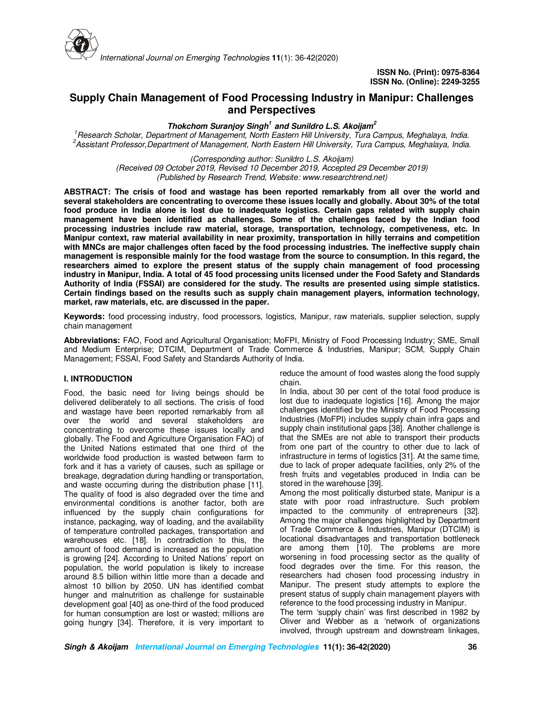

# **Supply Chain Management of Food Processing Industry in Manipur: Challenges and Perspectives**

**Thokchom Suranjoy Singh<sup>1</sup>and Sunildro L.S. Akoijam<sup>2</sup>**

*<sup>1</sup>Research Scholar, Department of Management, North Eastern Hill University, Tura Campus, Meghalaya, India. <sup>2</sup>Assistant Professor,Department of Management, North Eastern Hill University, Tura Campus, Meghalaya, India.* 

*(Corresponding author: Sunildro L.S. Akoijam)* 

*(Received 09 October 2019, Revised 10 December 2019, Accepted 29 December 2019) (Published by Research Trend, Website: www.researchtrend.net)* 

**ABSTRACT: The crisis of food and wastage has been reported remarkably from all over the world and several stakeholders are concentrating to overcome these issues locally and globally. About 30% of the total food produce in India alone is lost due to inadequate logistics. Certain gaps related with supply chain management have been identified as challenges. Some of the challenges faced by the Indian food processing industries include raw material, storage, transportation, technology, competiveness, etc. In Manipur context, raw material availability in near proximity, transportation in hilly terrains and competition with MNCs are major challenges often faced by the food processing industries. The ineffective supply chain management is responsible mainly for the food wastage from the source to consumption. In this regard, the researchers aimed to explore the present status of the supply chain management of food processing industry in Manipur, India. A total of 45 food processing units licensed under the Food Safety and Standards Authority of India (FSSAI) are considered for the study. The results are presented using simple statistics. Certain findings based on the results such as supply chain management players, information technology, market, raw materials, etc. are discussed in the paper.** 

**Keywords:** food processing industry, food processors, logistics, Manipur, raw materials, supplier selection, supply chain management

**Abbreviations:** FAO, Food and Agricultural Organisation; MoFPI, Ministry of Food Processing Industry; SME, Small and Medium Enterprise; DTCIM, Department of Trade Commerce & Industries, Manipur; SCM, Supply Chain Management; FSSAI, Food Safety and Standards Authority of India.

## **I. INTRODUCTION**

Food, the basic need for living beings should be delivered deliberately to all sections. The crisis of food and wastage have been reported remarkably from all over the world and several stakeholders are concentrating to overcome these issues locally and globally. The Food and Agriculture Organisation FAO) of the United Nations estimated that one third of the worldwide food production is wasted between farm to fork and it has a variety of causes, such as spillage or breakage, degradation during handling or transportation, and waste occurring during the distribution phase [11]. The quality of food is also degraded over the time and environmental conditions is another factor, both are influenced by the supply chain configurations for instance, packaging, way of loading, and the availability of temperature controlled packages, transportation and warehouses etc. [18]. In contradiction to this, the amount of food demand is increased as the population is growing [24]. According to United Nations' report on population, the world population is likely to increase around 8.5 billion within little more than a decade and almost 10 billion by 2050. UN has identified combat hunger and malnutrition as challenge for sustainable development goal [40] as one-third of the food produced for human consumption are lost or wasted; millions are going hungry [34]. Therefore, it is very important to

reduce the amount of food wastes along the food supply chain.

In India, about 30 per cent of the total food produce is lost due to inadequate logistics [16]. Among the major challenges identified by the Ministry of Food Processing Industries (MoFPI) includes supply chain infra gaps and supply chain institutional gaps [38]. Another challenge is that the SMEs are not able to transport their products from one part of the country to other due to lack of infrastructure in terms of logistics [31]. At the same time, due to lack of proper adequate facilities, only 2% of the fresh fruits and vegetables produced in India can be stored in the warehouse [39].

Among the most politically disturbed state, Manipur is a state with poor road infrastructure. Such problem impacted to the community of entrepreneurs [32]. Among the major challenges highlighted by Department of Trade Commerce & Industries, Manipur (DTCIM) is locational disadvantages and transportation bottleneck are among them [10]. The problems are more worsening in food processing sector as the quality of food degrades over the time. For this reason, the researchers had chosen food processing industry in Manipur. The present study attempts to explore the present status of supply chain management players with reference to the food processing industry in Manipur.

The term 'supply chain' was first described in 1982 by Oliver and Webber as a 'network of organizations involved, through upstream and downstream linkages,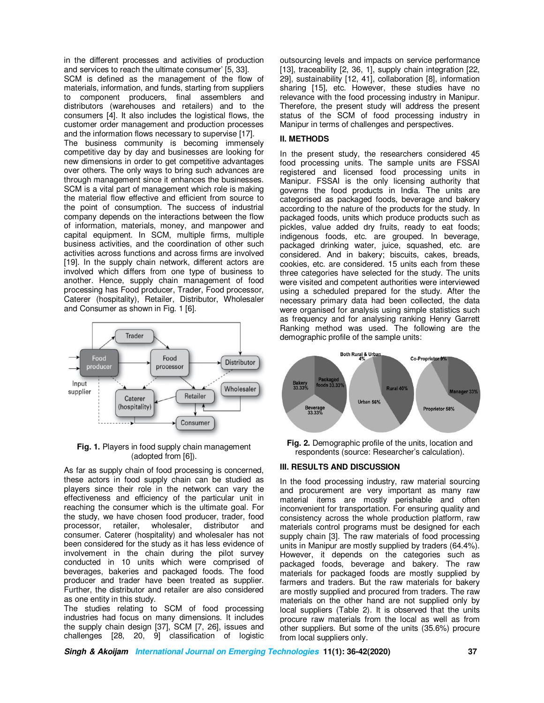in the different processes and activities of production and services to reach the ultimate consumer' [5, 33].

SCM is defined as the management of the flow of materials, information, and funds, starting from suppliers to component producers, final assemblers and distributors (warehouses and retailers) and to the consumers [4]. It also includes the logistical flows, the customer order management and production processes and the information flows necessary to supervise [17]. The business community is becoming immensely competitive day by day and businesses are looking for new dimensions in order to get competitive advantages over others. The only ways to bring such advances are through management since it enhances the businesses. SCM is a vital part of management which role is making the material flow effective and efficient from source to the point of consumption. The success of industrial company depends on the interactions between the flow of information, materials, money, and manpower and capital equipment. In SCM, multiple firms, multiple business activities, and the coordination of other such activities across functions and across firms are involved [19]. In the supply chain network, different actors are involved which differs from one type of business to another. Hence, supply chain management of food processing has Food producer, Trader, Food processor, Caterer (hospitality), Retailer, Distributor, Wholesaler and Consumer as shown in Fig. 1 [6].



**Fig. 1.** Players in food supply chain management (adopted from [6]).

As far as supply chain of food processing is concerned, these actors in food supply chain can be studied as players since their role in the network can vary the effectiveness and efficiency of the particular unit in reaching the consumer which is the ultimate goal. For the study, we have chosen food producer, trader, food processor, retailer, wholesaler, distributor and consumer. Caterer (hospitality) and wholesaler has not been considered for the study as it has less evidence of involvement in the chain during the pilot survey conducted in 10 units which were comprised of beverages, bakeries and packaged foods. The food producer and trader have been treated as supplier. Further, the distributor and retailer are also considered as one entity in this study.

The studies relating to SCM of food processing industries had focus on many dimensions. It includes the supply chain design [37], SCM [7, 26], issues and challenges [28, 20, 9] classification of logistic

outsourcing levels and impacts on service performance [13], traceability [2, 36, 1], supply chain integration [22, 29], sustainability [12, 41], collaboration [8], information sharing [15], etc. However, these studies have no relevance with the food processing industry in Manipur. Therefore, the present study will address the present status of the SCM of food processing industry in Manipur in terms of challenges and perspectives.

## **II. METHODS**

In the present study, the researchers considered 45 food processing units. The sample units are FSSAI registered and licensed food processing units in Manipur. FSSAI is the only licensing authority that governs the food products in India. The units are categorised as packaged foods, beverage and bakery according to the nature of the products for the study. In packaged foods, units which produce products such as pickles, value added dry fruits, ready to eat foods; indigenous foods, etc. are grouped. In beverage, packaged drinking water, juice, squashed, etc. are considered. And in bakery; biscuits, cakes, breads, cookies, etc. are considered. 15 units each from these three categories have selected for the study. The units were visited and competent authorities were interviewed using a scheduled prepared for the study. After the necessary primary data had been collected, the data were organised for analysis using simple statistics such as frequency and for analysing ranking Henry Garrett Ranking method was used. The following are the demographic profile of the sample units:



**Fig. 2.** Demographic profile of the units, location and respondents (source: Researcher's calculation).

## **III. RESULTS AND DISCUSSION**

In the food processing industry, raw material sourcing and procurement are very important as many raw material items are mostly perishable and often inconvenient for transportation. For ensuring quality and consistency across the whole production platform, raw materials control programs must be designed for each supply chain [3]. The raw materials of food processing units in Manipur are mostly supplied by traders (64.4%). However, it depends on the categories such as packaged foods, beverage and bakery. The raw materials for packaged foods are mostly supplied by farmers and traders. But the raw materials for bakery are mostly supplied and procured from traders. The raw materials on the other hand are not supplied only by local suppliers (Table 2). It is observed that the units procure raw materials from the local as well as from other suppliers. But some of the units (35.6%) procure from local suppliers only.

**Singh & Akoijam International Journal on Emerging Technologies 11(1): 36-42(2020) 37**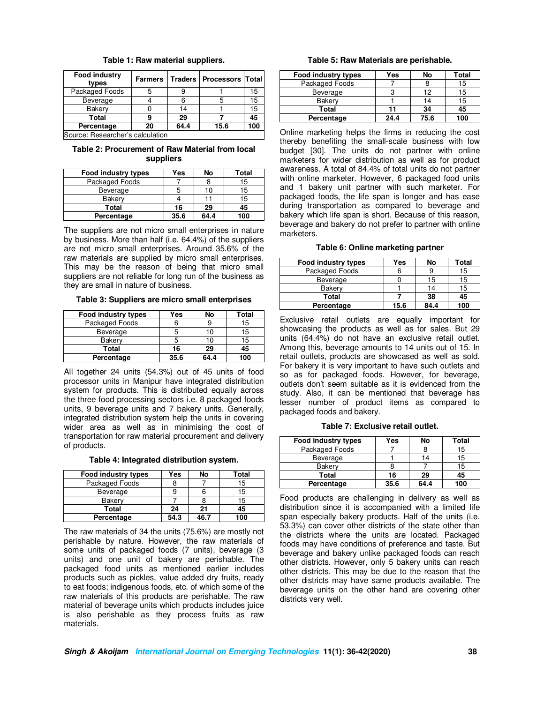|  |  |  | Table 1: Raw material suppliers. |  |  |
|--|--|--|----------------------------------|--|--|
|--|--|--|----------------------------------|--|--|

| Food industry<br>types | <b>Farmers</b>       |      | Traders   Processors   Total |     |
|------------------------|----------------------|------|------------------------------|-----|
| Packaged Foods         |                      |      |                              | 15  |
| Beverage               |                      |      |                              | 15  |
| Bakery                 |                      | 14   |                              | 15  |
| <b>Total</b>           |                      | 29   |                              | 45  |
| Percentage             | 20                   | 64.4 | 15.6                         | 100 |
|                        | $\cdot$<br>$\cdot$ . |      |                              |     |

Source: Researcher's calculation

**Table 2: Procurement of Raw Material from local suppliers**

| Food industry types | Yes  | No   | Total |
|---------------------|------|------|-------|
| Packaged Foods      |      |      | 15    |
| Beverage            |      | 10   | 15    |
| <b>Bakerv</b>       |      |      | 15    |
| Total               | 16   | 29   | 45    |
| Percentage          | 35.6 | 64.4 | 100   |

The suppliers are not micro small enterprises in nature by business. More than half (i.e. 64.4%) of the suppliers are not micro small enterprises. Around 35.6% of the raw materials are supplied by micro small enterprises. This may be the reason of being that micro small suppliers are not reliable for long run of the business as they are small in nature of business.

**Table 3: Suppliers are micro small enterprises**

| Food industry types | Yes  | No   | Total |
|---------------------|------|------|-------|
| Packaged Foods      |      |      | 15    |
| Beverage            |      | 10   | 15    |
| <b>Bakerv</b>       |      | 10   | 15    |
| Total               | 16   | 29   | 45    |
| Percentage          | 35.6 | 64.4 | 100   |

All together 24 units (54.3%) out of 45 units of food processor units in Manipur have integrated distribution system for products. This is distributed equally across the three food processing sectors i.e. 8 packaged foods units, 9 beverage units and 7 bakery units. Generally, integrated distribution system help the units in covering wider area as well as in minimising the cost of transportation for raw material procurement and delivery of products.

**Table 4: Integrated distribution system.**

| Food industry types | Yes  | No   | Total |
|---------------------|------|------|-------|
| Packaged Foods      |      |      | 15    |
| Beverage            |      | ь    | 15    |
| Bakery              |      |      | 15    |
| Total               | 24   | 21   | 45    |
| Percentage          | 54.3 | 16 ' | 100   |

The raw materials of 34 the units (75.6%) are mostly not perishable by nature. However, the raw materials of some units of packaged foods (7 units), beverage (3 units) and one unit of bakery are perishable. The packaged food units as mentioned earlier includes products such as pickles, value added dry fruits, ready to eat foods; indigenous foods, etc. of which some of the raw materials of this products are perishable. The raw material of beverage units which products includes juice is also perishable as they process fruits as raw materials.

**Table 5: Raw Materials are perishable.**

| Food industry types | Yes  | No   | Total |
|---------------------|------|------|-------|
| Packaged Foods      |      |      | 15    |
| Beverage            |      | 12   | 15    |
| Bakery              |      | 14   | 15    |
| Total               | 11   | 34   | 45    |
| Percentage          | 24.4 | 75.6 | 100   |

Online marketing helps the firms in reducing the cost thereby benefiting the small-scale business with low budget [30]. The units do not partner with online marketers for wider distribution as well as for product awareness. A total of 84.4% of total units do not partner with online marketer. However, 6 packaged food units and 1 bakery unit partner with such marketer. For packaged foods, the life span is longer and has ease during transportation as compared to beverage and bakery which life span is short. Because of this reason, beverage and bakery do not prefer to partner with online marketers.

#### **Table 6: Online marketing partner**

| Food industry types | Yes  | No   | Total |
|---------------------|------|------|-------|
| Packaged Foods      |      |      | 15    |
| Beverage            |      | 15   | 15    |
| Bakery              |      | 14   | 15    |
| Total               |      | 38   | 45    |
| Percentage          | 15.6 | 84.4 | 100   |

Exclusive retail outlets are equally important for showcasing the products as well as for sales. But 29 units (64.4%) do not have an exclusive retail outlet. Among this, beverage amounts to 14 units out of 15. In retail outlets, products are showcased as well as sold. For bakery it is very important to have such outlets and so as for packaged foods. However, for beverage, outlets don't seem suitable as it is evidenced from the study. Also, it can be mentioned that beverage has lesser number of product items as compared to packaged foods and bakery.

**Table 7: Exclusive retail outlet.**

| <b>Food industry types</b> | Yes  | No   | Total |
|----------------------------|------|------|-------|
| Packaged Foods             |      |      | 15    |
| Beverage                   |      | 14   | 15    |
| Bakery                     |      |      | 15    |
| <b>Total</b>               | 16   | 29   | 45    |
| Percentage                 | 35.6 | 64.4 | 100   |

Food products are challenging in delivery as well as distribution since it is accompanied with a limited life span especially bakery products. Half of the units (i.e. 53.3%) can cover other districts of the state other than the districts where the units are located. Packaged foods may have conditions of preference and taste. But beverage and bakery unlike packaged foods can reach other districts. However, only 5 bakery units can reach other districts. This may be due to the reason that the other districts may have same products available. The beverage units on the other hand are covering other districts very well.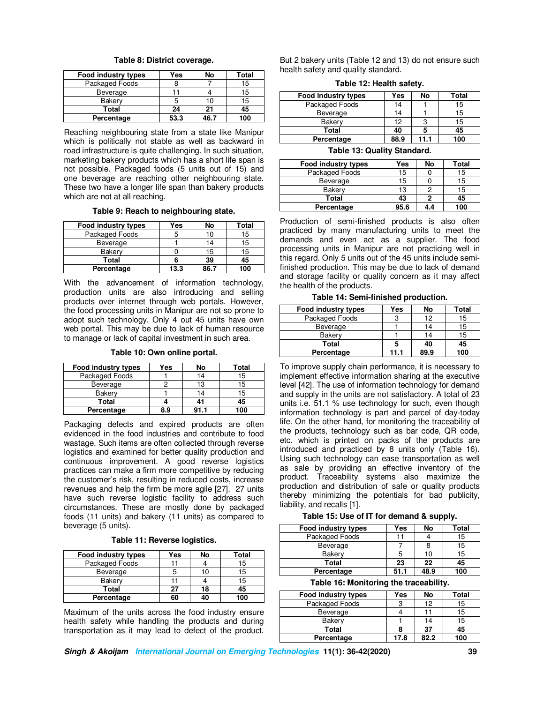| Food industry types | Yes  | No   | Total |
|---------------------|------|------|-------|
| Packaged Foods      |      |      | 15    |
| Beverage            |      |      | 15    |
| Bakery              |      | 10   | 15    |
| <b>Total</b>        | 24   | 21   | 45    |
| Percentage          | 53.3 | 46.7 | 100   |

**Table 8: District coverage.**

Reaching neighbouring state from a state like Manipur which is politically not stable as well as backward in road infrastructure is quite challenging. In such situation, marketing bakery products which has a short life span is not possible. Packaged foods (5 units out of 15) and one beverage are reaching other neighbouring state. These two have a longer life span than bakery products which are not at all reaching.

**Table 9: Reach to neighbouring state.**

| Food industry types | Yes  | No   | Total |
|---------------------|------|------|-------|
| Packaged Foods      |      | 10   | 15    |
| Beverage            |      | 14   | 15    |
| Bakery              |      | 15   | 15    |
| Total               |      | 39   | 45    |
| Percentage          | 13.3 | 86.7 | 100   |

With the advancement of information technology, production units are also introducing and selling products over internet through web portals. However, the food processing units in Manipur are not so prone to adopt such technology. Only 4 out 45 units have own web portal. This may be due to lack of human resource to manage or lack of capital investment in such area.

#### **Table 10: Own online portal.**

| Food industry types | Yes | No | Total |
|---------------------|-----|----|-------|
| Packaged Foods      |     | 14 | 15    |
| <b>Beverage</b>     |     | 13 | 15    |
| <b>Bakerv</b>       |     |    | 15    |
| Total               |     | 41 | 45    |
| Percentage          | 8.9 |    | 100   |

Packaging defects and expired products are often evidenced in the food industries and contribute to food wastage. Such items are often collected through reverse logistics and examined for better quality production and continuous improvement. A good reverse logistics practices can make a firm more competitive by reducing the customer's risk, resulting in reduced costs, increase revenues and help the firm be more agile [27]. 27 units have such reverse logistic facility to address such circumstances. These are mostly done by packaged foods (11 units) and bakery (11 units) as compared to beverage (5 units).

**Table 11: Reverse logistics.**

| Food industry types | Yes | No | Total |
|---------------------|-----|----|-------|
| Packaged Foods      |     |    | 15    |
| Beverage            |     | 10 | 15    |
| <b>Bakerv</b>       |     |    | 15    |
| Total               | 27  | 18 | 45    |
| Percentage          | 60  | 40 | 100   |

Maximum of the units across the food industry ensure health safety while handling the products and during transportation as it may lead to defect of the product.

But 2 bakery units (Table 12 and 13) do not ensure such health safety and quality standard.

**Table 12: Health safety.**

| Yes  | No   | Total |
|------|------|-------|
| 14   |      | 15    |
| 14   |      | 15    |
| 12   |      | 15    |
| 40   |      | 45    |
| 88.9 | 11.1 | 100   |
|      |      |       |

**Table 13: Quality Standard.**

| Food industry types | Yes  | No  | Total |
|---------------------|------|-----|-------|
| Packaged Foods      | 15   |     | 15    |
| <b>Beverage</b>     | 15   |     | 15    |
| <b>Bakerv</b>       | 13   |     | 15    |
| Total               | 43   |     | 45    |
| Percentage          | 95.6 | 4.4 | 100   |

Production of semi-finished products is also often practiced by many manufacturing units to meet the demands and even act as a supplier. The food processing units in Manipur are not practicing well in this regard. Only 5 units out of the 45 units include semifinished production. This may be due to lack of demand and storage facility or quality concern as it may affect the health of the products.

**Table 14: Semi-finished production.**

| Food industry types | Yes  | No   | Total |
|---------------------|------|------|-------|
| Packaged Foods      |      | 12   | 15    |
| Beverage            |      | 14   | 15    |
| <b>Bakerv</b>       |      | 14   | 15    |
| Total               |      | 40   | 45    |
| Percentage          | 11.1 | 89.9 | 100   |

To improve supply chain performance, it is necessary to implement effective information sharing at the executive level [42]. The use of information technology for demand and supply in the units are not satisfactory. A total of 23 units i.e. 51.1 % use technology for such, even though information technology is part and parcel of day-today life. On the other hand, for monitoring the traceability of the products, technology such as bar code, QR code, etc. which is printed on packs of the products are introduced and practiced by 8 units only (Table 16). Using such technology can ease transportation as well as sale by providing an effective inventory of the product. Traceability systems also maximize the production and distribution of safe or quality products thereby minimizing the potentials for bad publicity, liability, and recalls [1].

**Table 15: Use of IT for demand & supply.**

| Food industry types | Yes  | No   | Total |
|---------------------|------|------|-------|
| Packaged Foods      |      |      | 15    |
| <b>Beverage</b>     |      |      | 15    |
| Bakery              |      | 10   | 15    |
| Total               | 23   | 22   | 45    |
| Percentage          | 51.1 | 48.9 | 100   |

**Table 16: Monitoring the traceability.**

| Food industry types | Yes  | No   | Total |
|---------------------|------|------|-------|
| Packaged Foods      |      | 12   | 15    |
| <b>Beverage</b>     |      |      | 15    |
| <b>Bakerv</b>       |      | 14   | 15    |
| Total               |      | 37   | 45    |
| Percentage          | 17.8 | 82.2 | 100   |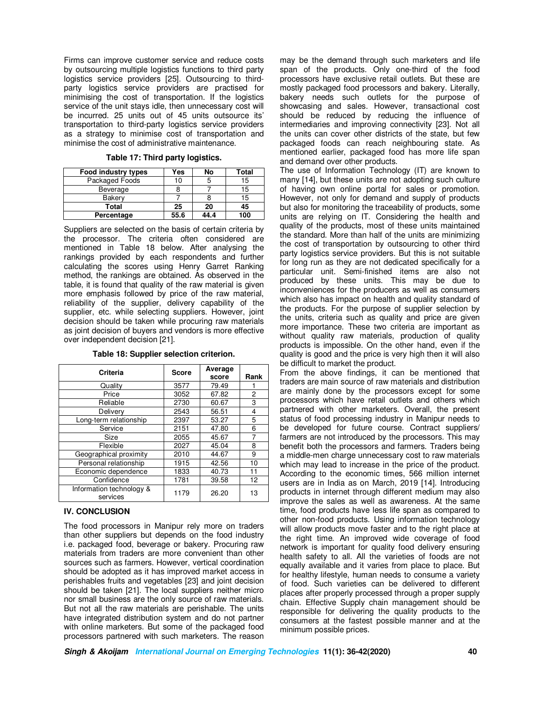Firms can improve customer service and reduce costs by outsourcing multiple logistics functions to third party logistics service providers [25]. Outsourcing to thirdparty logistics service providers are practised for minimising the cost of transportation. If the logistics service of the unit stays idle, then unnecessary cost will be incurred. 25 units out of 45 units outsource its' transportation to third-party logistics service providers as a strategy to minimise cost of transportation and minimise the cost of administrative maintenance.

| Food industry types | Yes | No | Total |
|---------------------|-----|----|-------|
| Packaged Foods      | 10  |    | 15    |
| Beverage            |     |    | 15    |
| Bakery              |     |    | 15    |
| Total               | 25  | 20 | 45    |

**Percentage 55.6 44.4 100** 

**Table 17: Third party logistics.**

Suppliers are selected on the basis of certain criteria by the processor. The criteria often considered are mentioned in Table 18 below. After analysing the rankings provided by each respondents and further calculating the scores using Henry Garret Ranking method, the rankings are obtained. As observed in the table, it is found that quality of the raw material is given more emphasis followed by price of the raw material, reliability of the supplier, delivery capability of the supplier, etc. while selecting suppliers. However, joint decision should be taken while procuring raw materials as joint decision of buyers and vendors is more effective over independent decision [21].

| Criteria                             | <b>Score</b> | Average<br>score | Rank |
|--------------------------------------|--------------|------------------|------|
| Quality                              | 3577         | 79.49            |      |
| Price                                | 3052         | 67.82            | 2    |
| Reliable                             | 2730         | 60.67            | 3    |
| Delivery                             | 2543         | 56.51            | 4    |
| Long-term relationship               | 2397         | 53.27            | 5    |
| Service                              | 2151         | 47.80            | 6    |
| Size                                 | 2055         | 45.67            | 7    |
| Flexible                             | 2027         | 45.04            | 8    |
| Geographical proximity               | 2010         | 44.67            | 9    |
| Personal relationship                | 1915         | 42.56            | 10   |
| Economic dependence                  | 1833         | 40.73            | 11   |
| Confidence                           | 1781         | 39.58            | 12   |
| Information technology &<br>services | 1179         | 26.20            | 13   |

**Table 18: Supplier selection criterion.**

## **IV. CONCLUSION**

The food processors in Manipur rely more on traders than other suppliers but depends on the food industry i.e. packaged food, beverage or bakery. Procuring raw materials from traders are more convenient than other sources such as farmers. However, vertical coordination should be adopted as it has improved market access in perishables fruits and vegetables [23] and joint decision should be taken [21]. The local suppliers neither micro nor small business are the only source of raw materials. But not all the raw materials are perishable. The units have integrated distribution system and do not partner with online marketers. But some of the packaged food processors partnered with such marketers. The reason

may be the demand through such marketers and life span of the products. Only one-third of the food processors have exclusive retail outlets. But these are mostly packaged food processors and bakery. Literally, bakery needs such outlets for the purpose of showcasing and sales. However, transactional cost should be reduced by reducing the influence of intermediaries and improving connectivity [23]. Not all the units can cover other districts of the state, but few packaged foods can reach neighbouring state. As mentioned earlier, packaged food has more life span and demand over other products.

The use of Information Technology (IT) are known to many [14], but these units are not adopting such culture of having own online portal for sales or promotion. However, not only for demand and supply of products but also for monitoring the traceability of products, some units are relying on IT. Considering the health and quality of the products, most of these units maintained the standard. More than half of the units are minimizing the cost of transportation by outsourcing to other third party logistics service providers. But this is not suitable for long run as they are not dedicated specifically for a particular unit. Semi-finished items are also not produced by these units. This may be due to inconveniences for the producers as well as consumers which also has impact on health and quality standard of the products. For the purpose of supplier selection by the units, criteria such as quality and price are given more importance. These two criteria are important as without quality raw materials, production of quality products is impossible. On the other hand, even if the quality is good and the price is very high then it will also be difficult to market the product.

From the above findings, it can be mentioned that traders are main source of raw materials and distribution are mainly done by the processors except for some processors which have retail outlets and others which partnered with other marketers. Overall, the present status of food processing industry in Manipur needs to be developed for future course. Contract suppliers/ farmers are not introduced by the processors. This may benefit both the processors and farmers. Traders being a middle-men charge unnecessary cost to raw materials which may lead to increase in the price of the product. According to the economic times, 566 million internet users are in India as on March, 2019 [14]. Introducing products in internet through different medium may also improve the sales as well as awareness. At the same time, food products have less life span as compared to other non-food products. Using information technology will allow products move faster and to the right place at the right time. An improved wide coverage of food network is important for quality food delivery ensuring health safety to all. All the varieties of foods are not equally available and it varies from place to place. But for healthy lifestyle, human needs to consume a variety of food. Such varieties can be delivered to different places after properly processed through a proper supply chain. Effective Supply chain management should be responsible for delivering the quality products to the consumers at the fastest possible manner and at the minimum possible prices.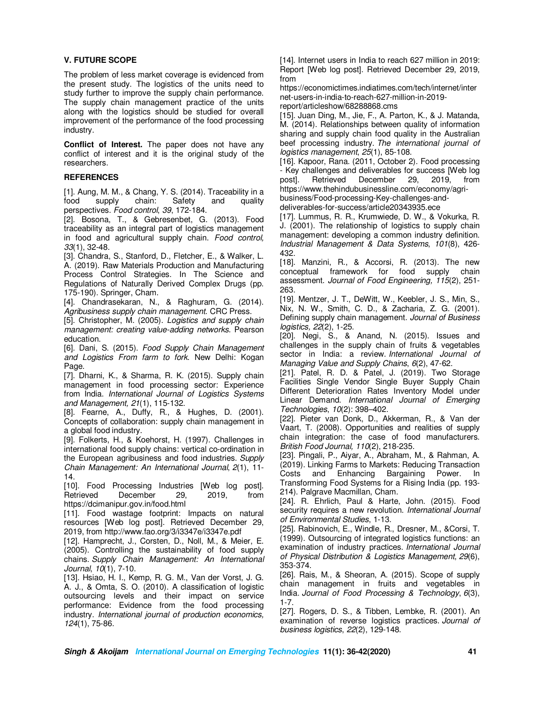## **V. FUTURE SCOPE**

The problem of less market coverage is evidenced from the present study. The logistics of the units need to study further to improve the supply chain performance. The supply chain management practice of the units along with the logistics should be studied for overall improvement of the performance of the food processing industry.

**Conflict of Interest.** The paper does not have any conflict of interest and it is the original study of the researchers.

## **REFERENCES**

[1]. Aung, M. M., & Chang, Y. S. (2014). Traceability in a food supply chain: Safety and quality perspectives. *Food control*, *39*, 172-184.

[2]. Bosona, T., & Gebresenbet, G. (2013). Food traceability as an integral part of logistics management in food and agricultural supply chain. *Food control, 33*(1), 32-48.

[3]. Chandra, S., Stanford, D., Fletcher, E., & Walker, L. A. (2019). Raw Materials Production and Manufacturing Process Control Strategies. In The Science and Regulations of Naturally Derived Complex Drugs (pp. 175-190). Springer, Cham.

[4]. Chandrasekaran, N., & Raghuram, G. (2014). *Agribusiness supply chain management*. CRC Press.

[5]. Christopher, M. (2005). *Logistics and supply chain management: creating value-adding networks*. Pearson education.

[6]. Dani, S. (2015). *Food Supply Chain Management and Logistics From farm to fork*. New Delhi: Kogan Page.

[7]. Dharni, K., & Sharma, R. K. (2015). Supply chain management in food processing sector: Experience from India. *International Journal of Logistics Systems and Management, 21*(1), 115-132.

[8]. Fearne, A., Duffy, R., & Hughes, D. (2001). Concepts of collaboration: supply chain management in a global food industry.

[9]. Folkerts, H., & Koehorst, H. (1997). Challenges in international food supply chains: vertical co-ordination in the European agribusiness and food industries. *Supply Chain Management: An International Journal*, *2*(1), 11- 14.

[10]. Food Processing Industries [Web log post]. Retrieved December 29, 2019, from https://dcimanipur.gov.in/food.html

[11]. Food wastage footprint: Impacts on natural resources [Web log post]. Retrieved December 29, 2019, from http://www.fao.org/3/i3347e/i3347e.pdf

[12]. Hamprecht, J., Corsten, D., Noll, M., & Meier, E. (2005). Controlling the sustainability of food supply chains. *Supply Chain Management: An International Journal*, *10*(1), 7-10.

[13]. Hsiao, H. I., Kemp, R. G. M., Van der Vorst, J. G. A. J., & Omta, S. O. (2010). A classification of logistic outsourcing levels and their impact on service performance: Evidence from the food processing industry. *International journal of production economics, 124*(1), 75-86.

[14]. Internet users in India to reach 627 million in 2019: Report [Web log post]. Retrieved December 29, 2019, from

https://economictimes.indiatimes.com/tech/internet/inter net-users-in-india-to-reach-627-million-in-2019 report/articleshow/68288868.cms

[15]. Juan Ding, M., Jie, F., A. Parton, K., & J. Matanda, M. (2014). Relationships between quality of information sharing and supply chain food quality in the Australian beef processing industry. *The international journal of logistics management*, *25*(1), 85-108.

[16]. Kapoor, Rana. (2011, October 2). Food processing - Key challenges and deliverables for success [Web log post]. Retrieved December 29, 2019, from post]. Retrieved December 29, 2019, from https://www.thehindubusinessline.com/economy/agribusiness/Food-processing-Key-challenges-and-

deliverables-for-success/article20343935.ece

[17]. Lummus, R. R., Krumwiede, D. W., & Vokurka, R. J. (2001). The relationship of logistics to supply chain management: developing a common industry definition. *Industrial Management & Data Systems*, *101*(8), 426- 432.

[18]. Manzini, R., & Accorsi, R. (2013). The new conceptual framework for food supply chain assessment. *Journal of Food Engineering, 115*(2), 251- 263.

[19]. Mentzer, J. T., DeWitt, W., Keebler, J. S., Min, S., Nix, N. W., Smith, C. D., & Zacharia, Z. G. (2001). Defining supply chain management. *Journal of Business logistics, 22*(2), 1-25.

[20]. Negi, S., & Anand, N. (2015). Issues and challenges in the supply chain of fruits & vegetables sector in India: a review. *International Journal of Managing Value and Supply Chains*, *6*(2), 47-62.

[21]. Patel, R. D. & Patel, J. (2019). Two Storage Facilities Single Vendor Single Buyer Supply Chain Different Deterioration Rates Inventory Model under Linear Demand. *International Journal of Emerging Technologies*, *10*(2): 398–402.

[22]. Pieter van Donk, D., Akkerman, R., & Van der Vaart, T. (2008). Opportunities and realities of supply chain integration: the case of food manufacturers. *British Food Journal, 110*(2), 218-235.

[23]. Pingali, P., Aiyar, A., Abraham, M., & Rahman, A. (2019). Linking Farms to Markets: Reducing Transaction Costs and Enhancing Bargaining Power. In Transforming Food Systems for a Rising India (pp. 193- 214). Palgrave Macmillan, Cham.

[24]. R. Ehrlich, Paul & Harte, John. (2015). Food security requires a new revolution. *International Journal of Environmental Studies*, 1-13.

[25]. Rabinovich, E., Windle, R., Dresner, M., &Corsi, T. (1999). Outsourcing of integrated logistics functions: an examination of industry practices. *International Journal of Physical Distribution & Logistics Management*, *29*(6), 353-374.

[26]. Rais, M., & Sheoran, A. (2015). Scope of supply chain management in fruits and vegetables in India. *Journal of Food Processing & Technology*, *6*(3), 1-7.

[27]. Rogers, D. S., & Tibben, Lembke, R. (2001). An examination of reverse logistics practices. *Journal of business logistics*, *22*(2), 129-148.